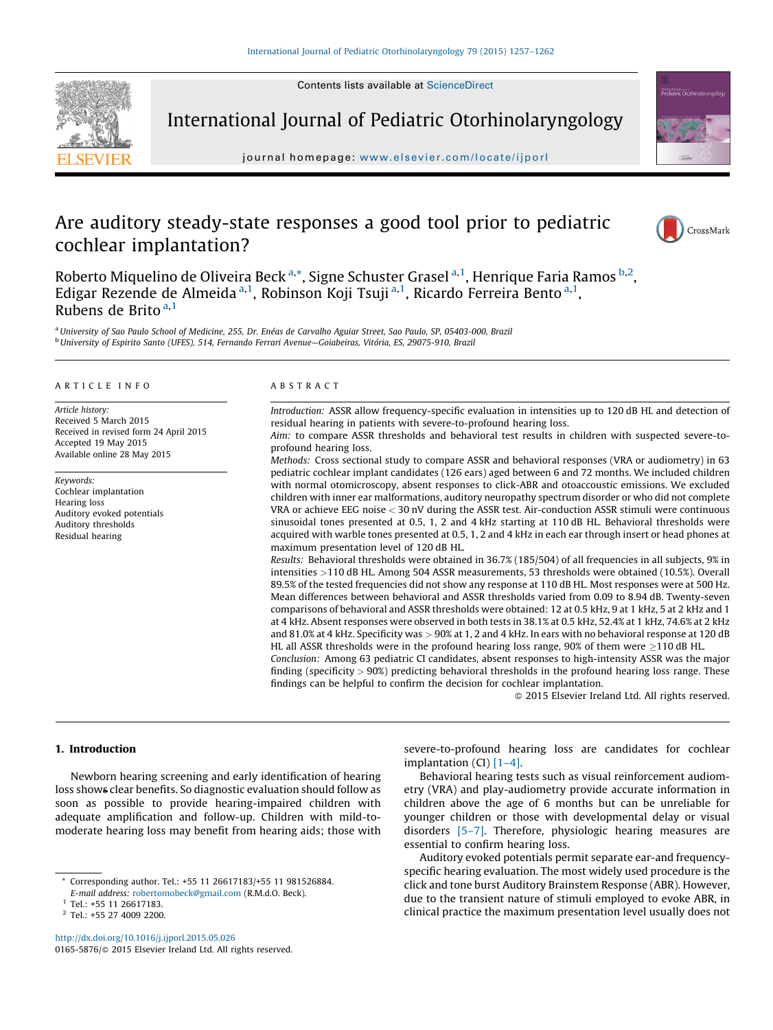Contents lists available at [ScienceDirect](http://www.sciencedirect.com/science/journal/01655876)



International Journal of Pediatric Otorhinolaryngology

journal homepage: www.elsevier.com/locate/ijporl

# Are auditory steady-state responses a good tool prior to pediatric cochlear implantation?



international.com/o<br>**Pediatric** Otorhinolaryno

CrossMark

Roberto Miquelino de Oliveira Beck <sup>a,</sup>\*, Signe Schuster Grasel <sup>a,1</sup>, Henrique Faria Ramos <sup>b,2</sup>, Edigar Rezende de Almeida <sup>a, 1</sup>, Robinson Koji Tsuji <sup>a, 1</sup>, Ricardo Ferreira Bento <sup>a, 1</sup>, Rubens de Brito  $a,1$ 

<sup>a</sup> University of Sao Paulo School of Medicine, 255, Dr. Enéas de Carvalho Aguiar Street, Sao Paulo, SP, 05403-000, Brazil <sup>b</sup> University of Espirito Santo (UFES), 514, Fernando Ferrari Avenue–Goiabeiras, Vitória, ES, 29075-910, Brazil

#### A R T I C L E I N F O

Article history: Received 5 March 2015 Received in revised form 24 April 2015 Accepted 19 May 2015 Available online 28 May 2015

Keywords: Cochlear implantation Hearing loss Auditory evoked potentials Auditory thresholds Residual hearing

#### A B S T R A C T

Introduction: ASSR allow frequency-specific evaluation in intensities up to 120 dB HL and detection of residual hearing in patients with severe-to-profound hearing loss.

Aim: to compare ASSR thresholds and behavioral test results in children with suspected severe-toprofound hearing loss.

Methods: Cross sectional study to compare ASSR and behavioral responses (VRA or audiometry) in 63 pediatric cochlear implant candidates (126 ears) aged between 6 and 72 months. We included children with normal otomicroscopy, absent responses to click-ABR and otoaccoustic emissions. We excluded children with inner ear malformations, auditory neuropathy spectrum disorder or who did not complete VRA or achieve EEG noise < 30 nV during the ASSR test. Air-conduction ASSR stimuli were continuous sinusoidal tones presented at 0.5, 1, 2 and 4 kHz starting at 110 dB HL. Behavioral thresholds were acquired with warble tones presented at 0.5, 1, 2 and 4 kHz in each ear through insert or head phones at maximum presentation level of 120 dB HL.

Results: Behavioral thresholds were obtained in 36.7% (185/504) of all frequencies in all subjects, 9% in intensities >110 dB HL. Among 504 ASSR measurements, 53 thresholds were obtained (10.5%). Overall 89.5% of the tested frequencies did not show any response at 110 dB HL. Most responses were at 500 Hz. Mean differences between behavioral and ASSR thresholds varied from 0.09 to 8.94 dB. Twenty-seven comparisons of behavioral and ASSR thresholds were obtained: 12 at 0.5 kHz, 9 at 1 kHz, 5 at 2 kHz and 1 at 4 kHz. Absent responses were observed in both tests in 38.1% at 0.5 kHz, 52.4% at 1 kHz, 74.6% at 2 kHz and 81.0% at 4 kHz. Specificity was > 90% at 1, 2 and 4 kHz. In ears with no behavioral response at 120 dB HL all ASSR thresholds were in the profound hearing loss range,  $90\%$  of them were  $\geq$ 110 dB HL.

Conclusion: Among 63 pediatric CI candidates, absent responses to high-intensity ASSR was the major finding (specificity > 90%) predicting behavioral thresholds in the profound hearing loss range. These findings can be helpful to confirm the decision for cochlear implantation.

 $\odot$  2015 Elsevier Ireland Ltd. All rights reserved.

# 1. Introduction

Newborn hearing screening and early identification of hearing loss shows clear benefits. So diagnostic evaluation should follow as soon as possible to provide hearing-impaired children with adequate amplification and follow-up. Children with mild-tomoderate hearing loss may benefit from hearing aids; those with

<http://dx.doi.org/10.1016/j.ijporl.2015.05.026> 0165-5876/© 2015 Elsevier Ireland Ltd. All rights reserved. severe-to-profound hearing loss are candidates for cochlear implantation (CI) [\[1–4\].](#page-4-0)

Behavioral hearing tests such as visual reinforcement audiometry (VRA) and play-audiometry provide accurate information in children above the age of 6 months but can be unreliable for younger children or those with developmental delay or visual disorders [\[5–7\]](#page-4-0). Therefore, physiologic hearing measures are essential to confirm hearing loss.

Auditory evoked potentials permit separate ear-and frequencyspecific hearing evaluation. The most widely used procedure is the click and tone burst Auditory Brainstem Response (ABR). However, due to the transient nature of stimuli employed to evoke ABR, in clinical practice the maximum presentation level usually does not

<sup>\*</sup> Corresponding author. Tel.: +55 11 26617183/+55 11 981526884. E-mail address: [robertomobeck@gmail.com](mailto:robertomobeck@gmail.com) (R.M.d.O. Beck).

<sup>&</sup>lt;sup>1</sup> Tel.: +55 11 26617183.

<sup>2</sup> Tel.: +55 27 4009 2200.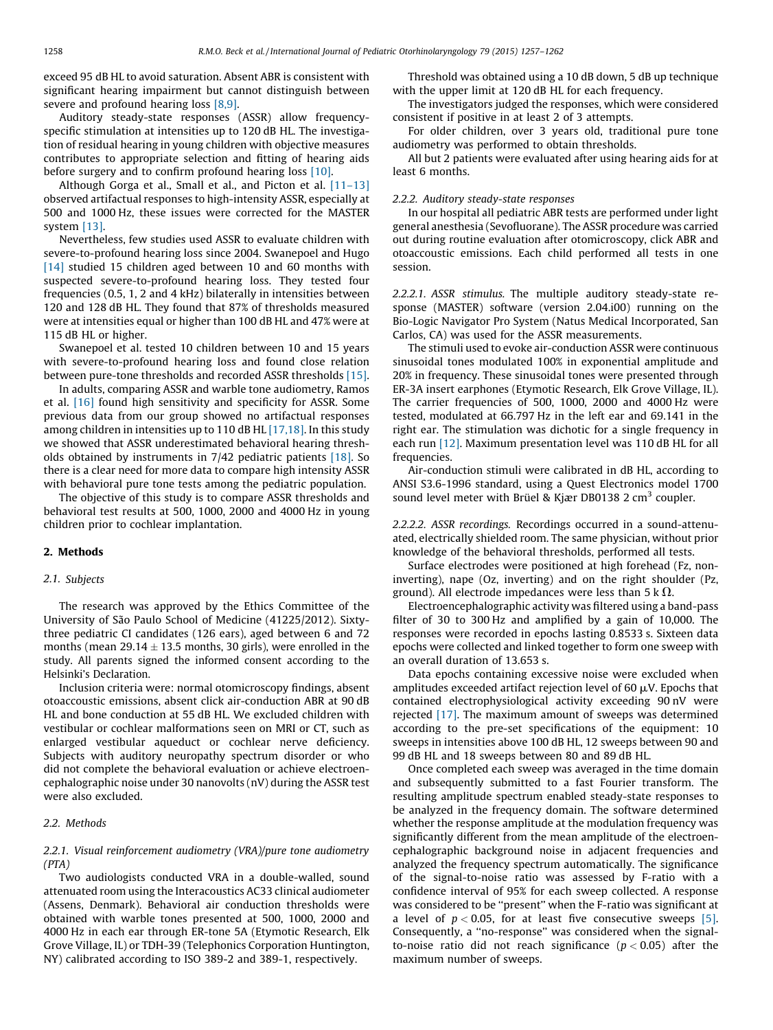exceed 95 dB HL to avoid saturation. Absent ABR is consistent with significant hearing impairment but cannot distinguish between severe and profound hearing loss [\[8,9\].](#page-4-0)

Auditory steady-state responses (ASSR) allow frequencyspecific stimulation at intensities up to 120 dB HL. The investigation of residual hearing in young children with objective measures contributes to appropriate selection and fitting of hearing aids before surgery and to confirm profound hearing loss [\[10\]](#page-4-0).

Although Gorga et al., Small et al., and Picton et al. [\[11–13\]](#page-4-0) observed artifactual responses to high-intensity ASSR, especially at 500 and 1000 Hz, these issues were corrected for the MASTER system [\[13\]](#page-4-0).

Nevertheless, few studies used ASSR to evaluate children with severe-to-profound hearing loss since 2004. Swanepoel and Hugo [\[14\]](#page-4-0) studied 15 children aged between 10 and 60 months with suspected severe-to-profound hearing loss. They tested four frequencies (0.5, 1, 2 and 4 kHz) bilaterally in intensities between 120 and 128 dB HL. They found that 87% of thresholds measured were at intensities equal or higher than 100 dB HL and 47% were at 115 dB HL or higher.

Swanepoel et al. tested 10 children between 10 and 15 years with severe-to-profound hearing loss and found close relation between pure-tone thresholds and recorded ASSR thresholds [\[15\].](#page-4-0)

In adults, comparing ASSR and warble tone audiometry, Ramos et al. [\[16\]](#page-4-0) found high sensitivity and specificity for ASSR. Some previous data from our group showed no artifactual responses among children in intensities up to 110 dB HL [\[17,18\]](#page-4-0). In this study we showed that ASSR underestimated behavioral hearing thresholds obtained by instruments in 7/42 pediatric patients [\[18\].](#page-4-0) So there is a clear need for more data to compare high intensity ASSR with behavioral pure tone tests among the pediatric population.

The objective of this study is to compare ASSR thresholds and behavioral test results at 500, 1000, 2000 and 4000 Hz in young children prior to cochlear implantation.

#### 2. Methods

#### 2.1. Subjects

The research was approved by the Ethics Committee of the University of São Paulo School of Medicine (41225/2012). Sixtythree pediatric CI candidates (126 ears), aged between 6 and 72 months (mean  $29.14 \pm 13.5$  months, 30 girls), were enrolled in the study. All parents signed the informed consent according to the Helsinki's Declaration.

Inclusion criteria were: normal otomicroscopy findings, absent otoaccoustic emissions, absent click air-conduction ABR at 90 dB HL and bone conduction at 55 dB HL. We excluded children with vestibular or cochlear malformations seen on MRI or CT, such as enlarged vestibular aqueduct or cochlear nerve deficiency. Subjects with auditory neuropathy spectrum disorder or who did not complete the behavioral evaluation or achieve electroencephalographic noise under 30 nanovolts (nV) during the ASSR test were also excluded.

### 2.2. Methods

# 2.2.1. Visual reinforcement audiometry (VRA)/pure tone audiometry (PTA)

Two audiologists conducted VRA in a double-walled, sound attenuated room using the Interacoustics AC33 clinical audiometer (Assens, Denmark). Behavioral air conduction thresholds were obtained with warble tones presented at 500, 1000, 2000 and 4000 Hz in each ear through ER-tone 5A (Etymotic Research, Elk Grove Village, IL) or TDH-39 (Telephonics Corporation Huntington, NY) calibrated according to ISO 389-2 and 389-1, respectively.

Threshold was obtained using a 10 dB down, 5 dB up technique with the upper limit at 120 dB HL for each frequency.

The investigators judged the responses, which were considered consistent if positive in at least 2 of 3 attempts.

For older children, over 3 years old, traditional pure tone audiometry was performed to obtain thresholds.

All but 2 patients were evaluated after using hearing aids for at least 6 months.

#### 2.2.2. Auditory steady-state responses

In our hospital all pediatric ABR tests are performed under light general anesthesia (Sevofluorane). The ASSR procedure was carried out during routine evaluation after otomicroscopy, click ABR and otoaccoustic emissions. Each child performed all tests in one session.

2.2.2.1. ASSR stimulus. The multiple auditory steady-state response (MASTER) software (version 2.04.i00) running on the Bio-Logic Navigator Pro System (Natus Medical Incorporated, San Carlos, CA) was used for the ASSR measurements.

The stimuli used to evoke air-conduction ASSR were continuous sinusoidal tones modulated 100% in exponential amplitude and 20% in frequency. These sinusoidal tones were presented through ER-3A insert earphones (Etymotic Research, Elk Grove Village, IL). The carrier frequencies of 500, 1000, 2000 and 4000 Hz were tested, modulated at 66.797 Hz in the left ear and 69.141 in the right ear. The stimulation was dichotic for a single frequency in each run [\[12\]](#page-4-0). Maximum presentation level was 110 dB HL for all frequencies.

Air-conduction stimuli were calibrated in dB HL, according to ANSI S3.6-1996 standard, using a Quest Electronics model 1700 sound level meter with Brüel & Kjær DB0138 2 cm<sup>3</sup> coupler.

2.2.2.2. ASSR recordings. Recordings occurred in a sound-attenuated, electrically shielded room. The same physician, without prior knowledge of the behavioral thresholds, performed all tests.

Surface electrodes were positioned at high forehead (Fz, noninverting), nape (Oz, inverting) and on the right shoulder (Pz, ground). All electrode impedances were less than 5 k  $\Omega$ .

Electroencephalographic activity was filtered using a band-pass filter of 30 to 300 Hz and amplified by a gain of 10,000. The responses were recorded in epochs lasting 0.8533 s. Sixteen data epochs were collected and linked together to form one sweep with an overall duration of 13.653 s.

Data epochs containing excessive noise were excluded when amplitudes exceeded artifact rejection level of 60  $\mu$ V. Epochs that contained electrophysiological activity exceeding 90 nV were rejected [\[17\]](#page-4-0). The maximum amount of sweeps was determined according to the pre-set specifications of the equipment: 10 sweeps in intensities above 100 dB HL, 12 sweeps between 90 and 99 dB HL and 18 sweeps between 80 and 89 dB HL.

Once completed each sweep was averaged in the time domain and subsequently submitted to a fast Fourier transform. The resulting amplitude spectrum enabled steady-state responses to be analyzed in the frequency domain. The software determined whether the response amplitude at the modulation frequency was significantly different from the mean amplitude of the electroencephalographic background noise in adjacent frequencies and analyzed the frequency spectrum automatically. The significance of the signal-to-noise ratio was assessed by F-ratio with a confidence interval of 95% for each sweep collected. A response was considered to be ''present'' when the F-ratio was significant at a level of  $p < 0.05$ , for at least five consecutive sweeps [\[5\].](#page-4-0) Consequently, a ''no-response'' was considered when the signalto-noise ratio did not reach significance ( $p < 0.05$ ) after the maximum number of sweeps.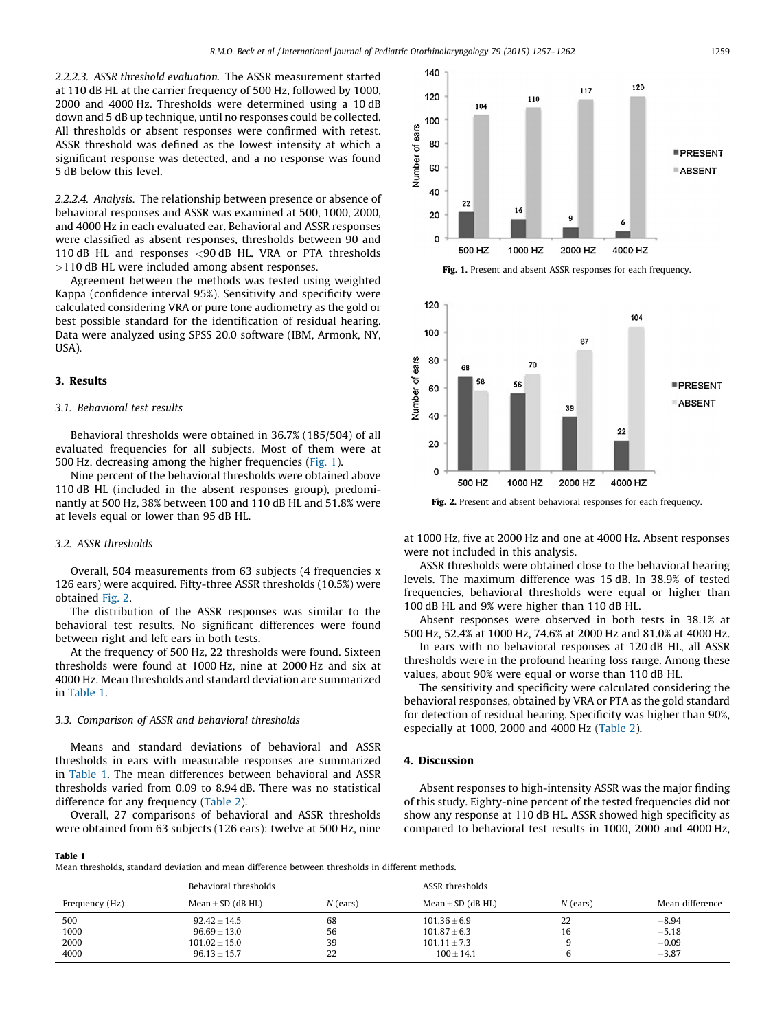2.2.2.3. ASSR threshold evaluation. The ASSR measurement started at 110 dB HL at the carrier frequency of 500 Hz, followed by 1000, 2000 and 4000 Hz. Thresholds were determined using a 10 dB down and 5 dB up technique, until no responses could be collected. All thresholds or absent responses were confirmed with retest. ASSR threshold was defined as the lowest intensity at which a significant response was detected, and a no response was found 5 dB below this level.

2.2.2.4. Analysis. The relationship between presence or absence of behavioral responses and ASSR was examined at 500, 1000, 2000, and 4000 Hz in each evaluated ear. Behavioral and ASSR responses were classified as absent responses, thresholds between 90 and 110 dB HL and responses <90 dB HL. VRA or PTA thresholds >110 dB HL were included among absent responses.

Agreement between the methods was tested using weighted Kappa (confidence interval 95%). Sensitivity and specificity were calculated considering VRA or pure tone audiometry as the gold or best possible standard for the identification of residual hearing. Data were analyzed using SPSS 20.0 software (IBM, Armonk, NY, USA).

#### 3. Results

## 3.1. Behavioral test results

Behavioral thresholds were obtained in 36.7% (185/504) of all evaluated frequencies for all subjects. Most of them were at 500 Hz, decreasing among the higher frequencies (Fig. 1).

Nine percent of the behavioral thresholds were obtained above 110 dB HL (included in the absent responses group), predominantly at 500 Hz, 38% between 100 and 110 dB HL and 51.8% were at levels equal or lower than 95 dB HL.

#### 3.2. ASSR thresholds

Overall, 504 measurements from 63 subjects (4 frequencies x 126 ears) were acquired. Fifty-three ASSR thresholds (10.5%) were obtained Fig. 2.

The distribution of the ASSR responses was similar to the behavioral test results. No significant differences were found between right and left ears in both tests.

At the frequency of 500 Hz, 22 thresholds were found. Sixteen thresholds were found at 1000 Hz, nine at 2000 Hz and six at 4000 Hz. Mean thresholds and standard deviation are summarized in Table 1.

#### 3.3. Comparison of ASSR and behavioral thresholds

Means and standard deviations of behavioral and ASSR thresholds in ears with measurable responses are summarized in Table 1. The mean differences between behavioral and ASSR thresholds varied from 0.09 to 8.94 dB. There was no statistical difference for any frequency ([Table](#page-3-0) 2).

Overall, 27 comparisons of behavioral and ASSR thresholds were obtained from 63 subjects (126 ears): twelve at 500 Hz, nine





Fig. 2. Present and absent behavioral responses for each frequency.

at 1000 Hz, five at 2000 Hz and one at 4000 Hz. Absent responses were not included in this analysis.

ASSR thresholds were obtained close to the behavioral hearing levels. The maximum difference was 15 dB. In 38.9% of tested frequencies, behavioral thresholds were equal or higher than 100 dB HL and 9% were higher than 110 dB HL.

Absent responses were observed in both tests in 38.1% at 500 Hz, 52.4% at 1000 Hz, 74.6% at 2000 Hz and 81.0% at 4000 Hz.

In ears with no behavioral responses at 120 dB HL, all ASSR thresholds were in the profound hearing loss range. Among these values, about 90% were equal or worse than 110 dB HL.

The sensitivity and specificity were calculated considering the behavioral responses, obtained by VRA or PTA as the gold standard for detection of residual hearing. Specificity was higher than 90%, especially at 1000, 2000 and 4000 Hz ([Table](#page-3-0) 2).

# 4. Discussion

Absent responses to high-intensity ASSR was the major finding of this study. Eighty-nine percent of the tested frequencies did not show any response at 110 dB HL. ASSR showed high specificity as compared to behavioral test results in 1000, 2000 and 4000 Hz,

Table 1

Mean thresholds, standard deviation and mean difference between thresholds in different methods.

|                | Behavioral thresholds |            | ASSR thresholds       |            |                 |  |
|----------------|-----------------------|------------|-----------------------|------------|-----------------|--|
| Frequency (Hz) | Mean $\pm$ SD (dB HL) | $N$ (ears) | Mean $\pm$ SD (dB HL) | $N$ (ears) | Mean difference |  |
| 500            | $92.42 \pm 14.5$      | 68         | $101.36 \pm 6.9$      | 22         | $-8.94$         |  |
| 1000           | $96.69 \pm 13.0$      | 56         | $101.87 \pm 6.3$      | 16         | $-5.18$         |  |
| 2000           | $101.02 \pm 15.0$     | 39         | $101.11 \pm 7.3$      |            | $-0.09$         |  |
| 4000           | $96.13 \pm 15.7$      | 22         | $100 \pm 14.1$        |            | $-3.87$         |  |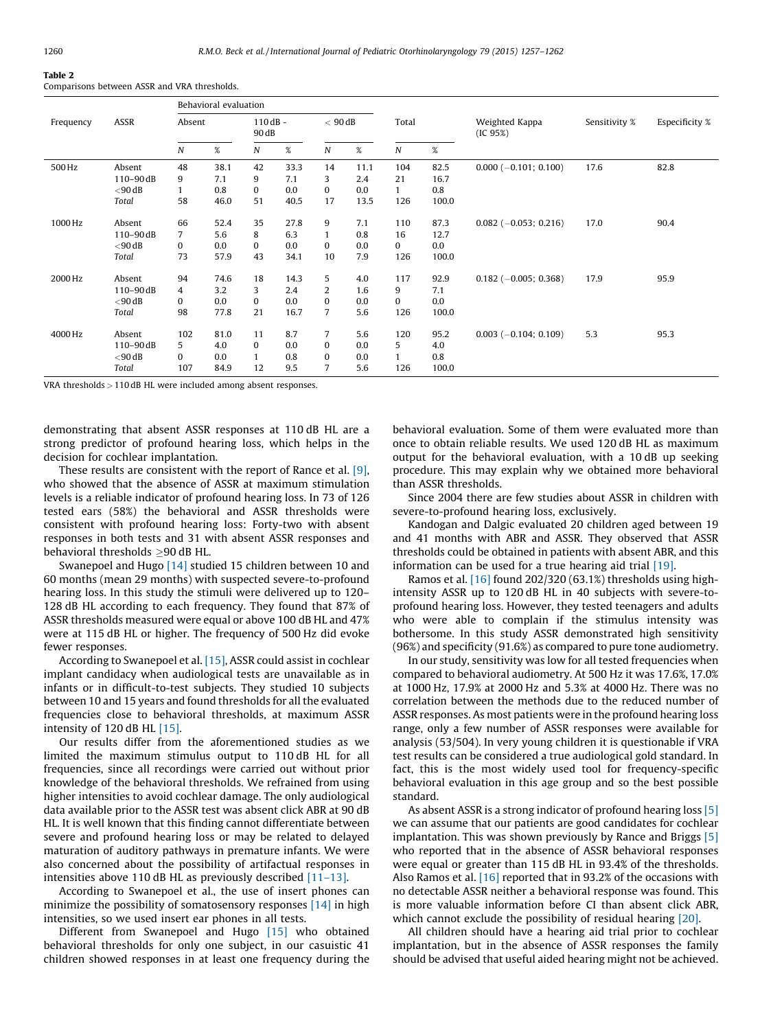# <span id="page-3-0"></span>Table 2

Comparisons between ASSR and VRA thresholds.

|           | ASSR          | Behavioral evaluation |      |                    |      |                  |         |                  |       |                            |               |                |
|-----------|---------------|-----------------------|------|--------------------|------|------------------|---------|------------------|-------|----------------------------|---------------|----------------|
| Frequency |               | Absent                |      | $110dB -$<br>90 dB |      | $< 90$ dB        |         | Total            |       | Weighted Kappa<br>(IC 95%) | Sensitivity % | Especificity % |
|           |               | N                     | $\%$ | N                  | %    | $\boldsymbol{N}$ | %       | $\boldsymbol{N}$ | $\%$  |                            |               |                |
| 500 Hz    | Absent        | 48                    | 38.1 | 42                 | 33.3 | 14               | 11.1    | 104              | 82.5  | $0.000 (-0.101; 0.100)$    | 17.6          | 82.8           |
|           | $110 - 90$ dB | 9                     | 7.1  | 9                  | 7.1  | 3                | 2.4     | 21               | 16.7  |                            |               |                |
|           | $<$ 90 dB     |                       | 0.8  | 0                  | 0.0  | $\bf{0}$         | $0.0\,$ | $\mathbf{1}$     | 0.8   |                            |               |                |
|           | Total         | 58                    | 46.0 | 51                 | 40.5 | 17               | 13.5    | 126              | 100.0 |                            |               |                |
| 1000 Hz   | Absent        | 66                    | 52.4 | 35                 | 27.8 | 9                | 7.1     | 110              | 87.3  | $0.082$ (-0.053; 0.216)    | 17.0          | 90.4           |
|           | 110-90dB      | $\overline{7}$        | 5.6  | 8                  | 6.3  |                  | 0.8     | 16               | 12.7  |                            |               |                |
|           | $<$ 90 dB     | $\bf{0}$              | 0.0  | $\bf{0}$           | 0.0  | $\mathbf{0}$     | 0.0     | 0                | 0.0   |                            |               |                |
|           | Total         | 73                    | 57.9 | 43                 | 34.1 | 10               | 7.9     | 126              | 100.0 |                            |               |                |
| 2000 Hz   | Absent        | 94                    | 74.6 | 18                 | 14.3 | 5                | 4.0     | 117              | 92.9  | $0.182$ (-0.005; 0.368)    | 17.9          | 95.9           |
|           | $110 - 90$ dB | $\overline{4}$        | 3.2  | 3                  | 2.4  | 2                | 1.6     | 9                | 7.1   |                            |               |                |
|           | $<$ 90 dB     | $\bf{0}$              | 0.0  | 0                  | 0.0  | $\bf{0}$         | 0.0     | 0                | 0.0   |                            |               |                |
|           | Total         | 98                    | 77.8 | 21                 | 16.7 | $\overline{7}$   | 5.6     | 126              | 100.0 |                            |               |                |
| 4000 Hz   | Absent        | 102                   | 81.0 | 11                 | 8.7  | $\overline{7}$   | 5.6     | 120              | 95.2  | $0.003$ (-0.104; 0.109)    | 5.3           | 95.3           |
|           | 110-90dB      | 5                     | 4.0  | $\mathbf{0}$       | 0.0  | $\bf{0}$         | 0.0     | 5                | 4.0   |                            |               |                |
|           | $<$ 90 dB     | $\Omega$              | 0.0  |                    | 0.8  | $\bf{0}$         | 0.0     | 1                | 0.8   |                            |               |                |
|           | Total         | 107                   | 84.9 | 12                 | 9.5  | 7                | 5.6     | 126              | 100.0 |                            |               |                |

VRA thresholds >110 dB HL were included among absent responses.

demonstrating that absent ASSR responses at 110 dB HL are a strong predictor of profound hearing loss, which helps in the decision for cochlear implantation.

These results are consistent with the report of Rance et al. [\[9\],](#page-4-0) who showed that the absence of ASSR at maximum stimulation levels is a reliable indicator of profound hearing loss. In 73 of 126 tested ears (58%) the behavioral and ASSR thresholds were consistent with profound hearing loss: Forty-two with absent responses in both tests and 31 with absent ASSR responses and behavioral thresholds  $\geq$ 90 dB HL.

Swanepoel and Hugo [\[14\]](#page-4-0) studied 15 children between 10 and 60 months (mean 29 months) with suspected severe-to-profound hearing loss. In this study the stimuli were delivered up to 120– 128 dB HL according to each frequency. They found that 87% of ASSR thresholds measured were equal or above 100 dB HL and 47% were at 115 dB HL or higher. The frequency of 500 Hz did evoke fewer responses.

According to Swanepoel et al. [\[15\],](#page-4-0) ASSR could assist in cochlear implant candidacy when audiological tests are unavailable as in infants or in difficult-to-test subjects. They studied 10 subjects between 10 and 15 years and found thresholds for all the evaluated frequencies close to behavioral thresholds, at maximum ASSR intensity of 120 dB HL [\[15\]](#page-4-0).

Our results differ from the aforementioned studies as we limited the maximum stimulus output to 110 dB HL for all frequencies, since all recordings were carried out without prior knowledge of the behavioral thresholds. We refrained from using higher intensities to avoid cochlear damage. The only audiological data available prior to the ASSR test was absent click ABR at 90 dB HL. It is well known that this finding cannot differentiate between severe and profound hearing loss or may be related to delayed maturation of auditory pathways in premature infants. We were also concerned about the possibility of artifactual responses in intensities above 110 dB HL as previously described [\[11–13\]](#page-4-0).

According to Swanepoel et al., the use of insert phones can minimize the possibility of somatosensory responses  $[14]$  in high intensities, so we used insert ear phones in all tests.

Different from Swanepoel and Hugo [\[15\]](#page-4-0) who obtained behavioral thresholds for only one subject, in our casuistic 41 children showed responses in at least one frequency during the behavioral evaluation. Some of them were evaluated more than once to obtain reliable results. We used 120 dB HL as maximum output for the behavioral evaluation, with a 10 dB up seeking procedure. This may explain why we obtained more behavioral than ASSR thresholds.

Since 2004 there are few studies about ASSR in children with severe-to-profound hearing loss, exclusively.

Kandogan and Dalgic evaluated 20 children aged between 19 and 41 months with ABR and ASSR. They observed that ASSR thresholds could be obtained in patients with absent ABR, and this information can be used for a true hearing aid trial [\[19\]](#page-4-0).

Ramos et al.  $[16]$  found 202/320 (63.1%) thresholds using highintensity ASSR up to 120 dB HL in 40 subjects with severe-toprofound hearing loss. However, they tested teenagers and adults who were able to complain if the stimulus intensity was bothersome. In this study ASSR demonstrated high sensitivity (96%) and specificity (91.6%) as compared to pure tone audiometry.

In our study, sensitivity was low for all tested frequencies when compared to behavioral audiometry. At 500 Hz it was 17.6%, 17.0% at 1000 Hz, 17.9% at 2000 Hz and 5.3% at 4000 Hz. There was no correlation between the methods due to the reduced number of ASSR responses. As most patients were in the profound hearing loss range, only a few number of ASSR responses were available for analysis (53/504). In very young children it is questionable if VRA test results can be considered a true audiological gold standard. In fact, this is the most widely used tool for frequency-specific behavioral evaluation in this age group and so the best possible standard.

As absent ASSR is a strong indicator of profound hearing loss [\[5\]](#page-4-0) we can assume that our patients are good candidates for cochlear implantation. This was shown previously by Rance and Briggs [\[5\]](#page-4-0) who reported that in the absence of ASSR behavioral responses were equal or greater than 115 dB HL in 93.4% of the thresholds. Also Ramos et al. [\[16\]](#page-4-0) reported that in 93.2% of the occasions with no detectable ASSR neither a behavioral response was found. This is more valuable information before CI than absent click ABR, which cannot exclude the possibility of residual hearing [\[20\]](#page-4-0).

All children should have a hearing aid trial prior to cochlear implantation, but in the absence of ASSR responses the family should be advised that useful aided hearing might not be achieved.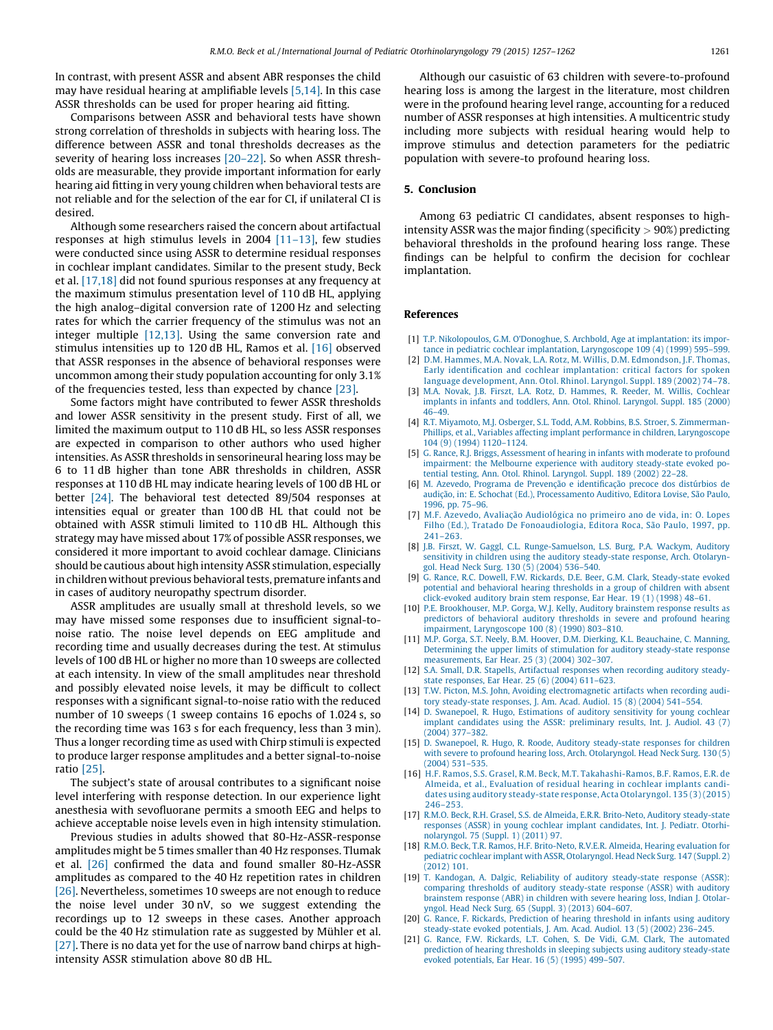<span id="page-4-0"></span>In contrast, with present ASSR and absent ABR responses the child may have residual hearing at amplifiable levels [5,14]. In this case ASSR thresholds can be used for proper hearing aid fitting.

Comparisons between ASSR and behavioral tests have shown strong correlation of thresholds in subjects with hearing loss. The difference between ASSR and tonal thresholds decreases as the severity of hearing loss increases [20–22]. So when ASSR thresholds are measurable, they provide important information for early hearing aid fitting in very young children when behavioral tests are not reliable and for the selection of the ear for CI, if unilateral CI is desired.

Although some researchers raised the concern about artifactual responses at high stimulus levels in 2004 [11–13], few studies were conducted since using ASSR to determine residual responses in cochlear implant candidates. Similar to the present study, Beck et al. [17,18] did not found spurious responses at any frequency at the maximum stimulus presentation level of 110 dB HL, applying the high analog–digital conversion rate of 1200 Hz and selecting rates for which the carrier frequency of the stimulus was not an integer multiple [12,13]. Using the same conversion rate and stimulus intensities up to 120 dB HL, Ramos et al. [16] observed that ASSR responses in the absence of behavioral responses were uncommon among their study population accounting for only 3.1% of the frequencies tested, less than expected by chance [\[23\]](#page-5-0).

Some factors might have contributed to fewer ASSR thresholds and lower ASSR sensitivity in the present study. First of all, we limited the maximum output to 110 dB HL, so less ASSR responses are expected in comparison to other authors who used higher intensities. As ASSR thresholds in sensorineural hearing loss may be 6 to 11 dB higher than tone ABR thresholds in children, ASSR responses at 110 dB HL may indicate hearing levels of 100 dB HL or better [\[24\].](#page-5-0) The behavioral test detected 89/504 responses at intensities equal or greater than 100 dB HL that could not be obtained with ASSR stimuli limited to 110 dB HL. Although this strategy may have missed about 17% of possible ASSR responses, we considered it more important to avoid cochlear damage. Clinicians should be cautious about high intensity ASSR stimulation, especially in children without previous behavioral tests, premature infants and in cases of auditory neuropathy spectrum disorder.

ASSR amplitudes are usually small at threshold levels, so we may have missed some responses due to insufficient signal-tonoise ratio. The noise level depends on EEG amplitude and recording time and usually decreases during the test. At stimulus levels of 100 dB HL or higher no more than 10 sweeps are collected at each intensity. In view of the small amplitudes near threshold and possibly elevated noise levels, it may be difficult to collect responses with a significant signal-to-noise ratio with the reduced number of 10 sweeps (1 sweep contains 16 epochs of 1.024 s, so the recording time was 163 s for each frequency, less than 3 min). Thus a longer recording time as used with Chirp stimuli is expected to produce larger response amplitudes and a better signal-to-noise ratio [\[25\].](#page-5-0)

The subject's state of arousal contributes to a significant noise level interfering with response detection. In our experience light anesthesia with sevofluorane permits a smooth EEG and helps to achieve acceptable noise levels even in high intensity stimulation.

Previous studies in adults showed that 80-Hz-ASSR-response amplitudes might be 5 times smaller than 40 Hz responses. Tlumak et al. [\[26\]](#page-5-0) confirmed the data and found smaller 80-Hz-ASSR amplitudes as compared to the 40 Hz repetition rates in children [\[26\]](#page-5-0). Nevertheless, sometimes 10 sweeps are not enough to reduce the noise level under 30 nV, so we suggest extending the recordings up to 12 sweeps in these cases. Another approach could be the 40 Hz stimulation rate as suggested by Mühler et al. [\[27\]](#page-5-0). There is no data yet for the use of narrow band chirps at highintensity ASSR stimulation above 80 dB HL.

Although our casuistic of 63 children with severe-to-profound hearing loss is among the largest in the literature, most children were in the profound hearing level range, accounting for a reduced number of ASSR responses at high intensities. A multicentric study including more subjects with residual hearing would help to improve stimulus and detection parameters for the pediatric population with severe-to profound hearing loss.

# 5. Conclusion

Among 63 pediatric CI candidates, absent responses to highintensity ASSR was the major finding (specificity  $> 90\%$ ) predicting behavioral thresholds in the profound hearing loss range. These findings can be helpful to confirm the decision for cochlear implantation.

#### References

- [1] T.P. Nikolopoulos, G.M. O'Donoghue, S. Archbold, Age at [implantation:](http://refhub.elsevier.com/S0165-5876(15)00246-3/sbref0140) its importance in pediatric cochlear implantation, [Laryngoscope](http://refhub.elsevier.com/S0165-5876(15)00246-3/sbref0140) 109 (4) (1999) 595–599.
- [2] D.M. Hammes, M.A. Novak, L.A. Rotz, M. Willis, D.M. [Edmondson,](http://refhub.elsevier.com/S0165-5876(15)00246-3/sbref0145) J.F. Thomas, Early identification and cochlear [implantation:](http://refhub.elsevier.com/S0165-5876(15)00246-3/sbref0145) critical factors for spoken language [development,](http://refhub.elsevier.com/S0165-5876(15)00246-3/sbref0145) Ann. Otol. Rhinol. Laryngol. Suppl. 189 (2002) 74–78.
- [3] M.A. Novak, J.B. Firszt, L.A. Rotz, D. [Hammes,](http://refhub.elsevier.com/S0165-5876(15)00246-3/sbref0150) R. Reeder, M. Willis, Cochlear implants in infants and toddlers, Ann. Otol. Rhinol. [Laryngol.](http://refhub.elsevier.com/S0165-5876(15)00246-3/sbref0150) Suppl. 185 (2000) [46–49.](http://refhub.elsevier.com/S0165-5876(15)00246-3/sbref0150)
- [4] R.T. Miyamoto, M.J. Osberger, S.L. Todd, A.M. Robbins, B.S. Stroer, S. [Zimmerman-](http://refhub.elsevier.com/S0165-5876(15)00246-3/sbref0155)Phillips, et al., Variables affecting implant performance in children, [Laryngoscope](http://refhub.elsevier.com/S0165-5876(15)00246-3/sbref0155) 104 (9) (1994) [1120–1124](http://refhub.elsevier.com/S0165-5876(15)00246-3/sbref0155).
- [5] G. Rance, R.J. Briggs, [Assessment](http://refhub.elsevier.com/S0165-5876(15)00246-3/sbref0160) of hearing in infants with moderate to profound [impairment:](http://refhub.elsevier.com/S0165-5876(15)00246-3/sbref0160) the Melbourne experience with auditory steady-state evoked potential testing, Ann. Otol. Rhinol. [Laryngol.](http://refhub.elsevier.com/S0165-5876(15)00246-3/sbref0160) Suppl. 189 (2002) 22–28.
- [6] M. Azevedo, [Programa](http://refhub.elsevier.com/S0165-5876(15)00246-3/sbref0165) de Prevenção e identificação [precoce](http://refhub.elsevier.com/S0165-5876(15)00246-3/sbref0165) dos distúrbios de [audic](http://refhub.elsevier.com/S0165-5876(15)00246-3/sbref0165)ão, in: E. Schochat (Ed.), [Processamento](http://refhub.elsevier.com/S0165-5876(15)00246-3/sbref0165) Auditivo, Editora Lovise, São Paulo, 1996, pp. [75–96.](http://refhub.elsevier.com/S0165-5876(15)00246-3/sbref0165)
- [7] M.F. [Azevedo,](http://refhub.elsevier.com/S0165-5876(15)00246-3/sbref0170) Avaliação Audiológica no [primeiro](http://refhub.elsevier.com/S0165-5876(15)00246-3/sbref0170) ano de vida, in: O. Lopes Filho (Ed.), Tratado De [Fonoaudiologia,](http://refhub.elsevier.com/S0165-5876(15)00246-3/sbref0170) Editora Roca, São Paulo, 1997, pp. [241–263.](http://refhub.elsevier.com/S0165-5876(15)00246-3/sbref0170)
- [8] J.B. Firszt, W. Gaggl, C.L. [Runge-Samuelson,](http://refhub.elsevier.com/S0165-5876(15)00246-3/sbref0175) L.S. Burg, P.A. Wackym, Auditory sensitivity in children using the auditory [steady-state](http://refhub.elsevier.com/S0165-5876(15)00246-3/sbref0175) response, Arch. Otolaryngol. Head Neck Surg. 130 (5) (2004) [536–540](http://refhub.elsevier.com/S0165-5876(15)00246-3/sbref0175).
- [9] G. Rance, R.C. Dowell, F.W. Rickards, D.E. Beer, G.M. Clark, [Steady-state](http://refhub.elsevier.com/S0165-5876(15)00246-3/sbref0180) evoked potential and behavioral hearing [thresholds](http://refhub.elsevier.com/S0165-5876(15)00246-3/sbref0180) in a group of children with absent [click-evoked](http://refhub.elsevier.com/S0165-5876(15)00246-3/sbref0180) auditory brain stem response, Ear Hear. 19 (1) (1998) 48–61.
- [10] P.E. [Brookhouser,](http://refhub.elsevier.com/S0165-5876(15)00246-3/sbref0185) M.P. Gorga, W.J. Kelly, Auditory brainstem response results as predictors of behavioral auditory [thresholds](http://refhub.elsevier.com/S0165-5876(15)00246-3/sbref0185) in severe and profound hearing impairment, [Laryngoscope](http://refhub.elsevier.com/S0165-5876(15)00246-3/sbref0185) 100 (8) (1990) 803–810.
- [11] M.P. Gorga, S.T. Neely, B.M. Hoover, D.M. Dierking, K.L. [Beauchaine,](http://refhub.elsevier.com/S0165-5876(15)00246-3/sbref0190) C. Manning, [Determining](http://refhub.elsevier.com/S0165-5876(15)00246-3/sbref0190) the upper limits of stimulation for auditory steady-state response [measurements,](http://refhub.elsevier.com/S0165-5876(15)00246-3/sbref0190) Ear Hear. 25 (3) (2004) 302–307.
- [12] S.A. Small, D.R. Stapells, [Artifactual](http://refhub.elsevier.com/S0165-5876(15)00246-3/sbref0195) responses when recording auditory steadystate [responses,](http://refhub.elsevier.com/S0165-5876(15)00246-3/sbref0195) Ear Hear. 25 (6) (2004) 611–623.
- [13] T.W. Picton, M.S. John, Avoiding [electromagnetic](http://refhub.elsevier.com/S0165-5876(15)00246-3/sbref0200) artifacts when recording auditory [steady-state](http://refhub.elsevier.com/S0165-5876(15)00246-3/sbref0200) responses, J. Am. Acad. Audiol. 15 (8) (2004) 541–554.
- [14] D. Swanepoel, R. Hugo, [Estimations](http://refhub.elsevier.com/S0165-5876(15)00246-3/sbref0205) of auditory sensitivity for young cochlear implant candidates using the ASSR: [preliminary](http://refhub.elsevier.com/S0165-5876(15)00246-3/sbref0205) results, Int. J. Audiol. 43 (7) (2004) [377–382](http://refhub.elsevier.com/S0165-5876(15)00246-3/sbref0205).
- [15] D. Swanepoel, R. Hugo, R. Roode, Auditory [steady-state](http://refhub.elsevier.com/S0165-5876(15)00246-3/sbref0210) responses for children with severe to profound hearing loss, Arch. [Otolaryngol.](http://refhub.elsevier.com/S0165-5876(15)00246-3/sbref0210) Head Neck Surg. 130 (5) (2004) [531–535](http://refhub.elsevier.com/S0165-5876(15)00246-3/sbref0210).
- [16] H.F. Ramos, S.S. Grasel, R.M. Beck, M.T. [Takahashi-Ramos,](http://refhub.elsevier.com/S0165-5876(15)00246-3/sbref0215) B.F. Ramos, E.R. de Almeida, et al., [Evaluation](http://refhub.elsevier.com/S0165-5876(15)00246-3/sbref0215) of residual hearing in cochlear implants candidates using auditory steady-state response, Acta [Otolaryngol.](http://refhub.elsevier.com/S0165-5876(15)00246-3/sbref0215) 135 (3) (2015) [246–253.](http://refhub.elsevier.com/S0165-5876(15)00246-3/sbref0215)
- [17] R.M.O. Beck, R.H. Grasel, S.S. de Almeida, E.R.R. Brito-Neto, Auditory [steady-state](http://refhub.elsevier.com/S0165-5876(15)00246-3/sbref0220) responses (ASSR) in young cochlear implant [candidates,](http://refhub.elsevier.com/S0165-5876(15)00246-3/sbref0220) Int. J. Pediatr. Otorhi[nolaryngol.](http://refhub.elsevier.com/S0165-5876(15)00246-3/sbref0220) 75 (Suppl. 1) (2011) 97.
- [18] R.M.O. Beck, T.R. Ramos, H.F. [Brito-Neto,](http://refhub.elsevier.com/S0165-5876(15)00246-3/sbref0225) R.V.E.R. Almeida, Hearing evaluation for pediatric cochlear implant with ASSR, [Otolaryngol.](http://refhub.elsevier.com/S0165-5876(15)00246-3/sbref0225) Head Neck Surg. 147 (Suppl. 2) [\(2012\)](http://refhub.elsevier.com/S0165-5876(15)00246-3/sbref0225) 101.
- [19] T. Kandogan, A. Dalgic, Reliability of auditory [steady-state](http://refhub.elsevier.com/S0165-5876(15)00246-3/sbref0230) response (ASSR): comparing thresholds of auditory [steady-state](http://refhub.elsevier.com/S0165-5876(15)00246-3/sbref0230) response (ASSR) with auditory [brainstem](http://refhub.elsevier.com/S0165-5876(15)00246-3/sbref0230) response (ABR) in children with severe hearing loss, Indian J. Otolaryngol. Head Neck Surg. 65 (Suppl. 3) (2013) [604–607.](http://refhub.elsevier.com/S0165-5876(15)00246-3/sbref0230)
- [20] G. Rance, F. Rickards, [Prediction](http://refhub.elsevier.com/S0165-5876(15)00246-3/sbref0235) of hearing threshold in infants using auditory [steady-state](http://refhub.elsevier.com/S0165-5876(15)00246-3/sbref0235) evoked potentials, J. Am. Acad. Audiol. 13 (5) (2002) 236–245.
- [21] G. Rance, F.W. Rickards, L.T. Cohen, S. De Vidi, G.M. Clark, The [automated](http://refhub.elsevier.com/S0165-5876(15)00246-3/sbref0240) prediction of hearing thresholds in sleeping subjects using auditory [steady-state](http://refhub.elsevier.com/S0165-5876(15)00246-3/sbref0240) evoked [potentials,](http://refhub.elsevier.com/S0165-5876(15)00246-3/sbref0240) Ear Hear. 16 (5) (1995) 499–507.